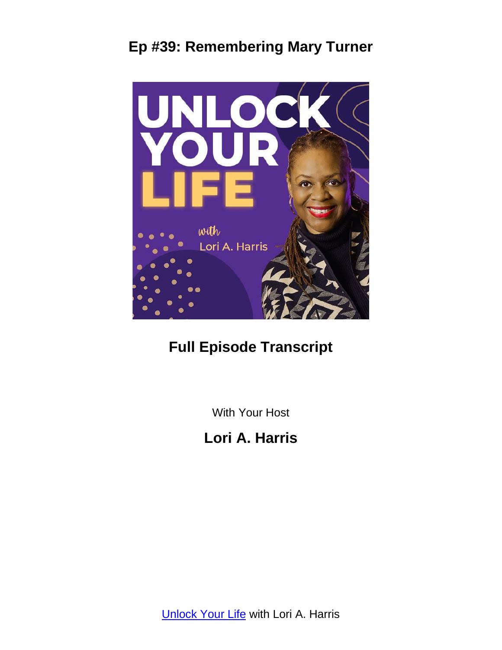

# **Full Episode Transcript**

With Your Host

**Lori A. Harris**

**[Unlock Your Life](https://loriaharris.com/podcast) with Lori A. Harris**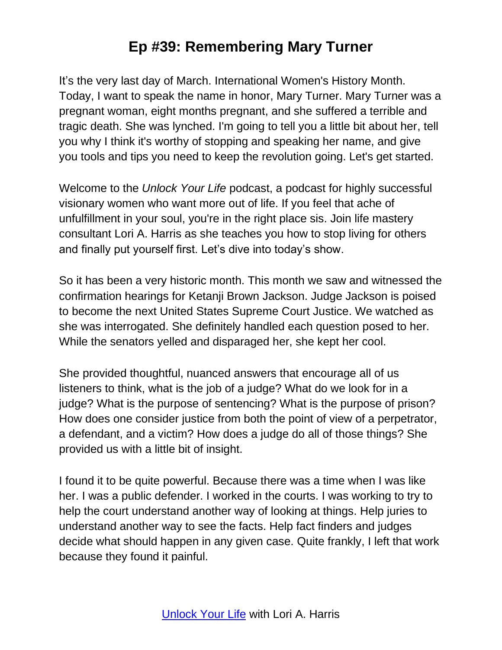It's the very last day of March. International Women's History Month. Today, I want to speak the name in honor, Mary Turner. Mary Turner was a pregnant woman, eight months pregnant, and she suffered a terrible and tragic death. She was lynched. I'm going to tell you a little bit about her, tell you why I think it's worthy of stopping and speaking her name, and give you tools and tips you need to keep the revolution going. Let's get started.

Welcome to the *Unlock Your Life* podcast, a podcast for highly successful visionary women who want more out of life. If you feel that ache of unfulfillment in your soul, you're in the right place sis. Join life mastery consultant Lori A. Harris as she teaches you how to stop living for others and finally put yourself first. Let's dive into today's show.

So it has been a very historic month. This month we saw and witnessed the confirmation hearings for Ketanji Brown Jackson. Judge Jackson is poised to become the next United States Supreme Court Justice. We watched as she was interrogated. She definitely handled each question posed to her. While the senators yelled and disparaged her, she kept her cool.

She provided thoughtful, nuanced answers that encourage all of us listeners to think, what is the job of a judge? What do we look for in a judge? What is the purpose of sentencing? What is the purpose of prison? How does one consider justice from both the point of view of a perpetrator, a defendant, and a victim? How does a judge do all of those things? She provided us with a little bit of insight.

I found it to be quite powerful. Because there was a time when I was like her. I was a public defender. I worked in the courts. I was working to try to help the court understand another way of looking at things. Help juries to understand another way to see the facts. Help fact finders and judges decide what should happen in any given case. Quite frankly, I left that work because they found it painful.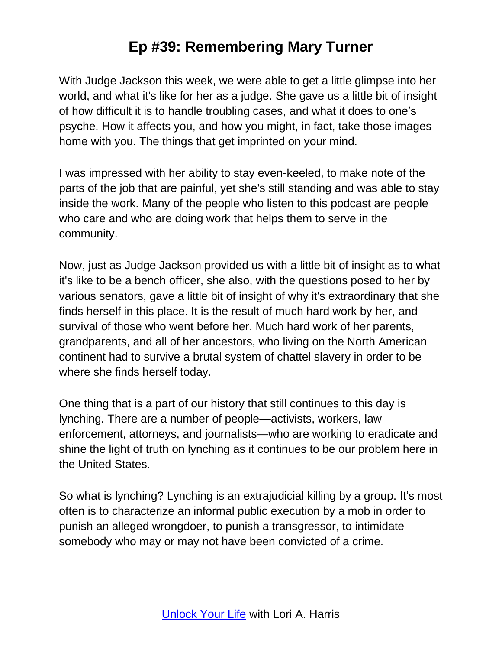With Judge Jackson this week, we were able to get a little glimpse into her world, and what it's like for her as a judge. She gave us a little bit of insight of how difficult it is to handle troubling cases, and what it does to one's psyche. How it affects you, and how you might, in fact, take those images home with you. The things that get imprinted on your mind.

I was impressed with her ability to stay even-keeled, to make note of the parts of the job that are painful, yet she's still standing and was able to stay inside the work. Many of the people who listen to this podcast are people who care and who are doing work that helps them to serve in the community.

Now, just as Judge Jackson provided us with a little bit of insight as to what it's like to be a bench officer, she also, with the questions posed to her by various senators, gave a little bit of insight of why it's extraordinary that she finds herself in this place. It is the result of much hard work by her, and survival of those who went before her. Much hard work of her parents, grandparents, and all of her ancestors, who living on the North American continent had to survive a brutal system of chattel slavery in order to be where she finds herself today.

One thing that is a part of our history that still continues to this day is lynching. There are a number of people—activists, workers, law enforcement, attorneys, and journalists—who are working to eradicate and shine the light of truth on lynching as it continues to be our problem here in the United States.

So what is lynching? Lynching is an extrajudicial killing by a group. It's most often is to characterize an informal public execution by a mob in order to punish an alleged wrongdoer, to punish a transgressor, to intimidate somebody who may or may not have been convicted of a crime.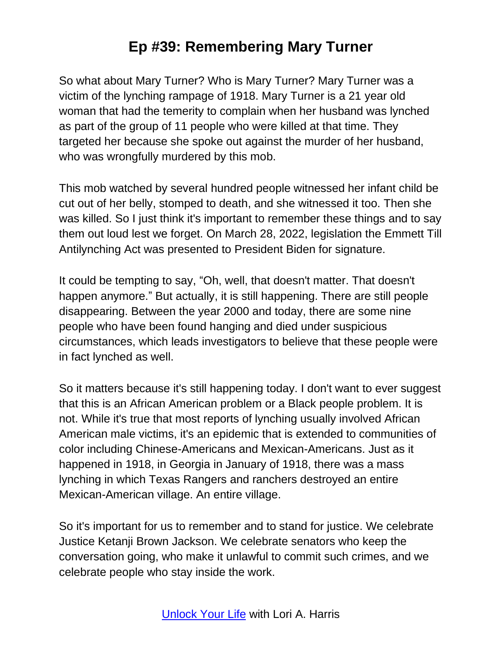So what about Mary Turner? Who is Mary Turner? Mary Turner was a victim of the lynching rampage of 1918. Mary Turner is a 21 year old woman that had the temerity to complain when her husband was lynched as part of the group of 11 people who were killed at that time. They targeted her because she spoke out against the murder of her husband, who was wrongfully murdered by this mob.

This mob watched by several hundred people witnessed her infant child be cut out of her belly, stomped to death, and she witnessed it too. Then she was killed. So I just think it's important to remember these things and to say them out loud lest we forget. On March 28, 2022, legislation the Emmett Till Antilynching Act was presented to President Biden for signature.

It could be tempting to say, "Oh, well, that doesn't matter. That doesn't happen anymore." But actually, it is still happening. There are still people disappearing. Between the year 2000 and today, there are some nine people who have been found hanging and died under suspicious circumstances, which leads investigators to believe that these people were in fact lynched as well.

So it matters because it's still happening today. I don't want to ever suggest that this is an African American problem or a Black people problem. It is not. While it's true that most reports of lynching usually involved African American male victims, it's an epidemic that is extended to communities of color including Chinese-Americans and Mexican-Americans. Just as it happened in 1918, in Georgia in January of 1918, there was a mass lynching in which Texas Rangers and ranchers destroyed an entire Mexican-American village. An entire village.

So it's important for us to remember and to stand for justice. We celebrate Justice Ketanji Brown Jackson. We celebrate senators who keep the conversation going, who make it unlawful to commit such crimes, and we celebrate people who stay inside the work.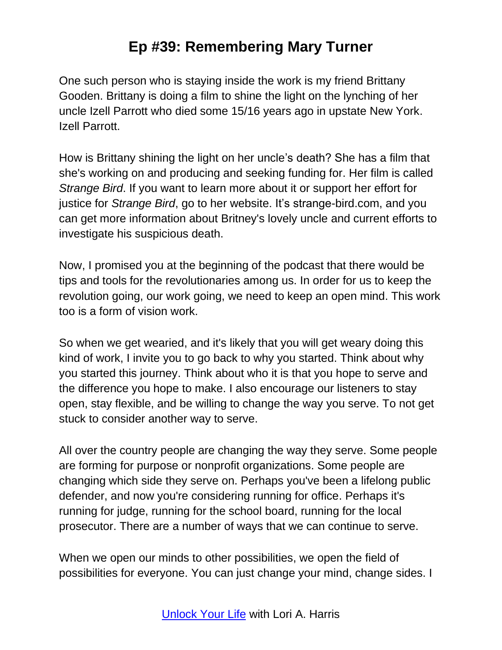One such person who is staying inside the work is my friend Brittany Gooden. Brittany is doing a film to shine the light on the lynching of her uncle Izell Parrott who died some 15/16 years ago in upstate New York. Izell Parrott.

How is Brittany shining the light on her uncle's death? She has a film that she's working on and producing and seeking funding for. Her film is called *Strange Bird*. If you want to learn more about it or support her effort for justice for *Strange Bird*, go to her website. It's strange-bird.com, and you can get more information about Britney's lovely uncle and current efforts to investigate his suspicious death.

Now, I promised you at the beginning of the podcast that there would be tips and tools for the revolutionaries among us. In order for us to keep the revolution going, our work going, we need to keep an open mind. This work too is a form of vision work.

So when we get wearied, and it's likely that you will get weary doing this kind of work, I invite you to go back to why you started. Think about why you started this journey. Think about who it is that you hope to serve and the difference you hope to make. I also encourage our listeners to stay open, stay flexible, and be willing to change the way you serve. To not get stuck to consider another way to serve.

All over the country people are changing the way they serve. Some people are forming for purpose or nonprofit organizations. Some people are changing which side they serve on. Perhaps you've been a lifelong public defender, and now you're considering running for office. Perhaps it's running for judge, running for the school board, running for the local prosecutor. There are a number of ways that we can continue to serve.

When we open our minds to other possibilities, we open the field of possibilities for everyone. You can just change your mind, change sides. I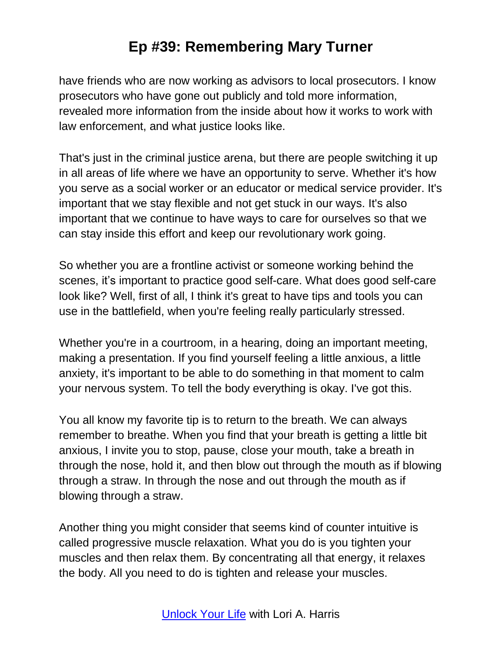have friends who are now working as advisors to local prosecutors. I know prosecutors who have gone out publicly and told more information, revealed more information from the inside about how it works to work with law enforcement, and what justice looks like.

That's just in the criminal justice arena, but there are people switching it up in all areas of life where we have an opportunity to serve. Whether it's how you serve as a social worker or an educator or medical service provider. It's important that we stay flexible and not get stuck in our ways. It's also important that we continue to have ways to care for ourselves so that we can stay inside this effort and keep our revolutionary work going.

So whether you are a frontline activist or someone working behind the scenes, it's important to practice good self-care. What does good self-care look like? Well, first of all, I think it's great to have tips and tools you can use in the battlefield, when you're feeling really particularly stressed.

Whether you're in a courtroom, in a hearing, doing an important meeting, making a presentation. If you find yourself feeling a little anxious, a little anxiety, it's important to be able to do something in that moment to calm your nervous system. To tell the body everything is okay. I've got this.

You all know my favorite tip is to return to the breath. We can always remember to breathe. When you find that your breath is getting a little bit anxious, I invite you to stop, pause, close your mouth, take a breath in through the nose, hold it, and then blow out through the mouth as if blowing through a straw. In through the nose and out through the mouth as if blowing through a straw.

Another thing you might consider that seems kind of counter intuitive is called progressive muscle relaxation. What you do is you tighten your muscles and then relax them. By concentrating all that energy, it relaxes the body. All you need to do is tighten and release your muscles.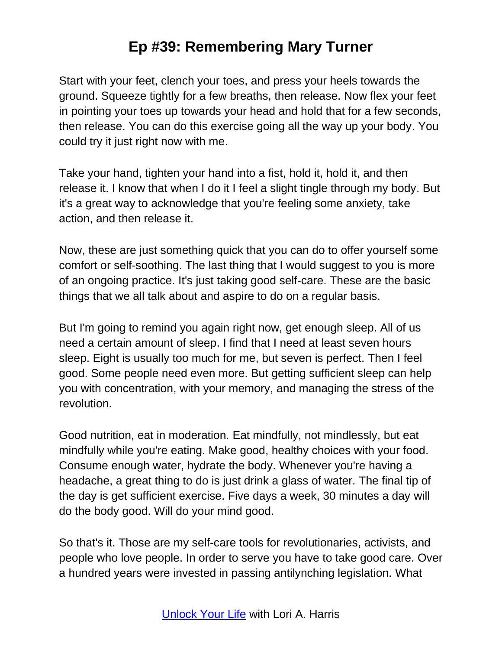Start with your feet, clench your toes, and press your heels towards the ground. Squeeze tightly for a few breaths, then release. Now flex your feet in pointing your toes up towards your head and hold that for a few seconds, then release. You can do this exercise going all the way up your body. You could try it just right now with me.

Take your hand, tighten your hand into a fist, hold it, hold it, and then release it. I know that when I do it I feel a slight tingle through my body. But it's a great way to acknowledge that you're feeling some anxiety, take action, and then release it.

Now, these are just something quick that you can do to offer yourself some comfort or self-soothing. The last thing that I would suggest to you is more of an ongoing practice. It's just taking good self-care. These are the basic things that we all talk about and aspire to do on a regular basis.

But I'm going to remind you again right now, get enough sleep. All of us need a certain amount of sleep. I find that I need at least seven hours sleep. Eight is usually too much for me, but seven is perfect. Then I feel good. Some people need even more. But getting sufficient sleep can help you with concentration, with your memory, and managing the stress of the revolution.

Good nutrition, eat in moderation. Eat mindfully, not mindlessly, but eat mindfully while you're eating. Make good, healthy choices with your food. Consume enough water, hydrate the body. Whenever you're having a headache, a great thing to do is just drink a glass of water. The final tip of the day is get sufficient exercise. Five days a week, 30 minutes a day will do the body good. Will do your mind good.

So that's it. Those are my self-care tools for revolutionaries, activists, and people who love people. In order to serve you have to take good care. Over a hundred years were invested in passing antilynching legislation. What